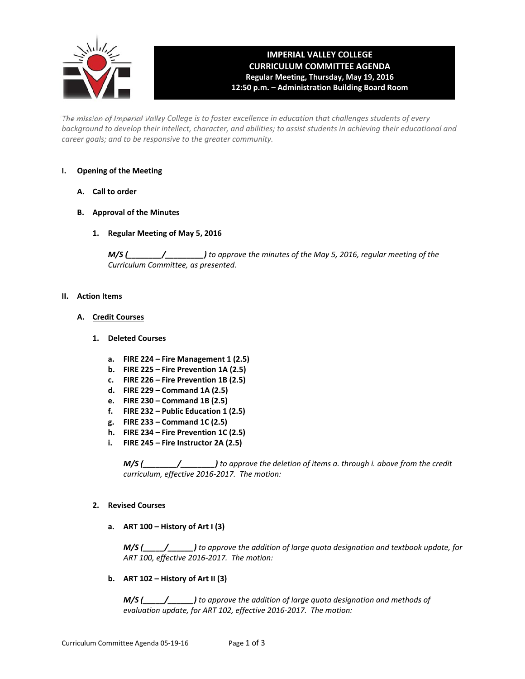

# **IMPERIAL VALLEY COLLEGE CURRICULUM COMMITTEE AGENDA Regular Meeting, Thursday, May 19, 2016 12:50 p.m. – Administration Building Board Room**

The mission of Imperial Valley College is to foster excellence in education that challenges students of every background to develop their intellect, character, and abilities; to assist students in achieving their educational and *career goals; and to be responsive to the greater community.*

# **I. Opening of the Meeting**

- **A. Call to order**
- **B. Approval of the Minutes**
	- **1. Regular Meeting of May 5, 2016**

*M/S (\_\_\_\_\_\_\_\_/\_\_\_\_\_\_\_\_\_) to approve the minutes of the May 5, 2016, regular meeting of the Curriculum Committee, as presented.* 

#### **II. Action Items**

- **A. Credit Courses**
	- **1. Deleted Courses**
		- **a. FIRE 224 – Fire Management 1 (2.5)**
		- **b. FIRE 225 – Fire Prevention 1A (2.5)**
		- **c. FIRE 226 – Fire Prevention 1B (2.5)**
		- **d. FIRE 229 – Command 1A (2.5)**
		- **e. FIRE 230 – Command 1B (2.5)**
		- **f. FIRE 232 – Public Education 1 (2.5)**
		- **g. FIRE 233 – Command 1C (2.5)**
		- **h. FIRE 234 – Fire Prevention 1C (2.5)**
		- **i. FIRE 245 – Fire Instructor 2A (2.5)**

*M/S (\_\_\_\_\_\_\_\_/\_\_\_\_\_\_\_\_) to approve the deletion of items a. through i. above from the credit curriculum, effective 2016‐2017. The motion:*

### **2. Revised Courses**

**a. ART 100 – History of Art I (3)**

 *M/S (\_\_\_\_\_/\_\_\_\_\_\_) to approve the addition of large quota designation and textbook update, for ART 100, effective 2016‐2017. The motion:*

**b. ART 102 – History of Art II (3)**

 *M/S (\_\_\_\_\_/\_\_\_\_\_\_) to approve the addition of large quota designation and methods of evaluation update, for ART 102, effective 2016‐2017. The motion:*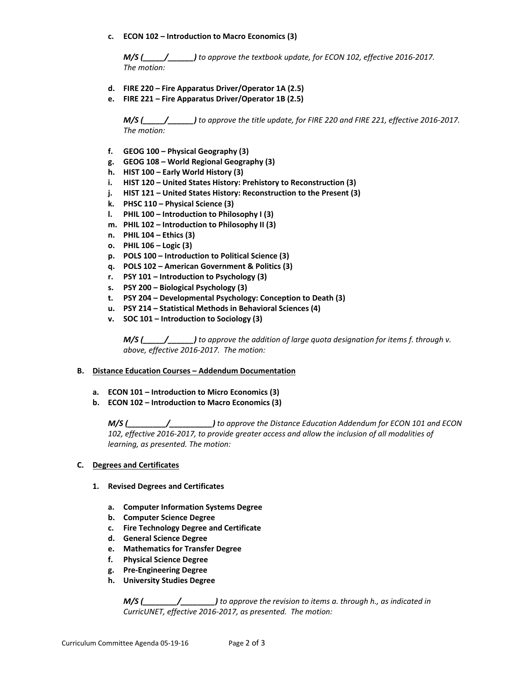**c. ECON 102 – Introduction to Macro Economics (3)**

 *M/S (\_\_\_\_\_/\_\_\_\_\_\_) to approve the textbook update, for ECON 102, effective 2016‐2017. The motion:*

- **d. FIRE 220 – Fire Apparatus Driver/Operator 1A (2.5)**
- **e. FIRE 221 – Fire Apparatus Driver/Operator 1B (2.5)**

 $M/S$  ( $\qquad$  to approve the title update, for FIRE 220 and FIRE 221, effective 2016-2017.  *The motion:*

- **f. GEOG 100 – Physical Geography (3)**
- **g. GEOG 108 – World Regional Geography (3)**
- **h. HIST 100 – Early World History (3)**
- **i. HIST 120 – United States History: Prehistory to Reconstruction (3)**
- **j. HIST 121 – United States History: Reconstruction to the Present (3)**
- **k. PHSC 110 – Physical Science (3)**
- **l. PHIL 100 – Introduction to Philosophy I (3)**
- **m. PHIL 102 – Introduction to Philosophy II (3)**
- **n. PHIL 104 – Ethics (3)**
- **o. PHIL 106 – Logic (3)**
- **p. POLS 100 – Introduction to Political Science (3)**
- **q. POLS 102 – American Government & Politics (3)**
- **r. PSY 101 – Introduction to Psychology (3)**
- **s. PSY 200 – Biological Psychology (3)**
- **t. PSY 204 – Developmental Psychology: Conception to Death (3)**
- **u. PSY 214 – Statistical Methods in Behavioral Sciences (4)**
- **v. SOC 101 – Introduction to Sociology (3)**

 *M/S (\_\_\_\_\_/\_\_\_\_\_\_) to approve the addition of large quota designation for items f. through v. above, effective 2016‐2017. The motion:*

#### **B. Distance Education Courses – Addendum Documentation**

- **a. ECON 101 – Introduction to Micro Economics (3)**
- **b. ECON 102 – Introduction to Macro Economics (3)**

*M/S (\_\_\_\_\_\_\_\_\_/\_\_\_\_\_\_\_\_\_\_) to approve the Distance Education Addendum for ECON 101 and ECON 102, effective 2016‐2017, to provide greater access and allow the inclusion of all modalities of learning, as presented. The motion:*

- **C. Degrees and Certificates** 
	- **1. Revised Degrees and Certificates**
		- **a. Computer Information Systems Degree**
		- **b. Computer Science Degree**
		- **c. Fire Technology Degree and Certificate**
		- **d. General Science Degree**
		- **e. Mathematics for Transfer Degree**
		- **f. Physical Science Degree**
		- **g. Pre‐Engineering Degree**
		- **h. University Studies Degree**

*M/S (\_\_\_\_\_\_\_\_/\_\_\_\_\_\_\_\_) to approve the revision to items a. through h., as indicated in CurricUNET, effective 2016‐2017, as presented. The motion:*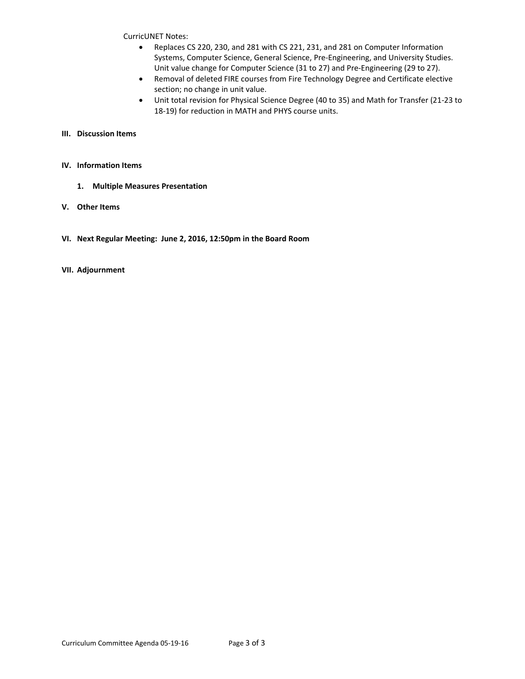CurricUNET Notes:

- Replaces CS 220, 230, and 281 with CS 221, 231, and 281 on Computer Information Systems, Computer Science, General Science, Pre‐Engineering, and University Studies. Unit value change for Computer Science (31 to 27) and Pre‐Engineering (29 to 27).
- Removal of deleted FIRE courses from Fire Technology Degree and Certificate elective section; no change in unit value.
- Unit total revision for Physical Science Degree (40 to 35) and Math for Transfer (21‐23 to 18‐19) for reduction in MATH and PHYS course units.

## **III. Discussion Items**

## **IV. Information Items**

- **1. Multiple Measures Presentation**
- **V. Other Items**
- **VI. Next Regular Meeting: June 2, 2016, 12:50pm in the Board Room**
- **VII. Adjournment**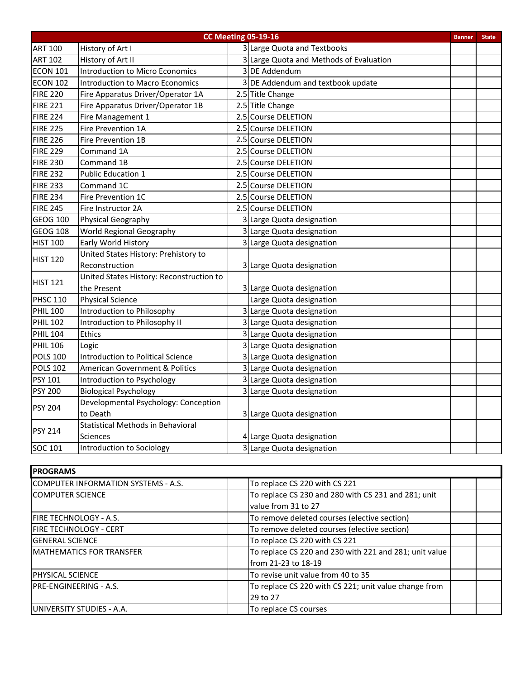| <b>CC Meeting 05-19-16</b><br><b>Banner</b> |                                           |   |                                         |  |  |
|---------------------------------------------|-------------------------------------------|---|-----------------------------------------|--|--|
| <b>ART 100</b>                              | History of Art I                          |   | 3 Large Quota and Textbooks             |  |  |
| <b>ART 102</b>                              | History of Art II                         |   | 3 Large Quota and Methods of Evaluation |  |  |
| <b>ECON 101</b>                             | <b>Introduction to Micro Economics</b>    |   | 3 DE Addendum                           |  |  |
| <b>ECON 102</b>                             | Introduction to Macro Economics           |   | 3 DE Addendum and textbook update       |  |  |
| <b>FIRE 220</b>                             | Fire Apparatus Driver/Operator 1A         |   | 2.5 Title Change                        |  |  |
| <b>FIRE 221</b>                             | Fire Apparatus Driver/Operator 1B         |   | 2.5 Title Change                        |  |  |
| <b>FIRE 224</b>                             | Fire Management 1                         |   | 2.5 Course DELETION                     |  |  |
| <b>FIRE 225</b>                             | Fire Prevention 1A                        |   | 2.5 Course DELETION                     |  |  |
| <b>FIRE 226</b>                             | Fire Prevention 1B                        |   | 2.5 Course DELETION                     |  |  |
| <b>FIRE 229</b>                             | Command 1A                                |   | 2.5 Course DELETION                     |  |  |
| <b>FIRE 230</b>                             | Command 1B                                |   | 2.5 Course DELETION                     |  |  |
| <b>FIRE 232</b>                             | <b>Public Education 1</b>                 |   | 2.5 Course DELETION                     |  |  |
| <b>FIRE 233</b>                             | Command 1C                                |   | 2.5 Course DELETION                     |  |  |
| <b>FIRE 234</b>                             | Fire Prevention 1C                        |   | 2.5 Course DELETION                     |  |  |
| <b>FIRE 245</b>                             | Fire Instructor 2A                        |   | 2.5 Course DELETION                     |  |  |
| <b>GEOG 100</b>                             | Physical Geography                        |   | 3 Large Quota designation               |  |  |
| <b>GEOG 108</b>                             | World Regional Geography                  |   | 3 Large Quota designation               |  |  |
| <b>HIST 100</b>                             | Early World History                       |   | 3 Large Quota designation               |  |  |
| <b>HIST 120</b>                             | United States History: Prehistory to      |   |                                         |  |  |
|                                             | Reconstruction                            |   | 3 Large Quota designation               |  |  |
| <b>HIST 121</b>                             | United States History: Reconstruction to  |   |                                         |  |  |
|                                             | the Present                               |   | 3 Large Quota designation               |  |  |
| <b>PHSC 110</b>                             | <b>Physical Science</b>                   |   | Large Quota designation                 |  |  |
| <b>PHIL 100</b>                             | Introduction to Philosophy                | 3 | Large Quota designation                 |  |  |
| <b>PHIL 102</b>                             | Introduction to Philosophy II             |   | Large Quota designation                 |  |  |
| <b>PHIL 104</b>                             | <b>Ethics</b>                             |   | Large Quota designation                 |  |  |
| <b>PHIL 106</b>                             | Logic                                     |   | Large Quota designation                 |  |  |
| <b>POLS 100</b>                             | Introduction to Political Science         | 3 | Large Quota designation                 |  |  |
| <b>POLS 102</b>                             | <b>American Government &amp; Politics</b> |   | Large Quota designation                 |  |  |
| <b>PSY 101</b>                              | Introduction to Psychology                | 3 | Large Quota designation                 |  |  |
| <b>PSY 200</b>                              | <b>Biological Psychology</b>              |   | 3 Large Quota designation               |  |  |
| <b>PSY 204</b>                              | Developmental Psychology: Conception      |   |                                         |  |  |
|                                             | to Death                                  |   | 3 Large Quota designation               |  |  |
| <b>PSY 214</b>                              | <b>Statistical Methods in Behavioral</b>  |   |                                         |  |  |
|                                             | <b>Sciences</b>                           |   | 4 Large Quota designation               |  |  |
| SOC 101                                     | Introduction to Sociology                 |   | 3 Large Quota designation               |  |  |

| <b>PROGRAMS</b>                     |                                                        |  |  |  |  |  |
|-------------------------------------|--------------------------------------------------------|--|--|--|--|--|
| COMPUTER INFORMATION SYSTEMS - A.S. | To replace CS 220 with CS 221                          |  |  |  |  |  |
| <b>COMPUTER SCIENCE</b>             | To replace CS 230 and 280 with CS 231 and 281; unit    |  |  |  |  |  |
|                                     | value from 31 to 27                                    |  |  |  |  |  |
| <b>IFIRE TECHNOLOGY - A.S.</b>      | To remove deleted courses (elective section)           |  |  |  |  |  |
| IFIRE TECHNOLOGY - CERT             | To remove deleted courses (elective section)           |  |  |  |  |  |
| <b>I</b> GENERAL SCIENCE            | To replace CS 220 with CS 221                          |  |  |  |  |  |
| <b>IMATHEMATICS FOR TRANSFER</b>    | To replace CS 220 and 230 with 221 and 281; unit value |  |  |  |  |  |
|                                     | from 21-23 to 18-19                                    |  |  |  |  |  |
| <b>PHYSICAL SCIENCE</b>             | To revise unit value from 40 to 35                     |  |  |  |  |  |
| <b>IPRE-ENGINEERING - A.S.</b>      | To replace CS 220 with CS 221; unit value change from  |  |  |  |  |  |
|                                     | 29 to 27                                               |  |  |  |  |  |
| IUNIVERSITY STUDIES - A.A.          | To replace CS courses                                  |  |  |  |  |  |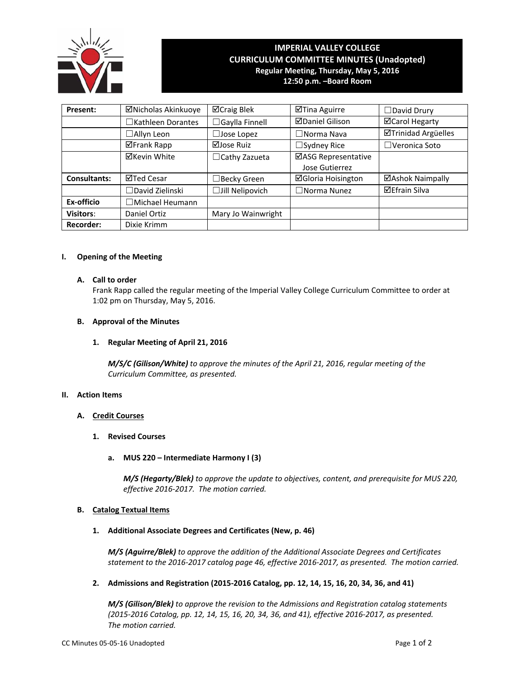

# **IMPERIAL VALLEY COLLEGE CURRICULUM COMMITTEE MINUTES (Unadopted) Regular Meeting, Thursday, May 5, 2016 12:50 p.m. –Board Room**

**Present:** │ ⊠Nicholas Akinkuoye │ ⊠Craig Blek │ ⊠Tina Aguirre │ □David Drury ☐Kathleen Dorantes ☐Gaylla Finnell Daniel Gilison Carol Hegarty ☐Allyn Leon ☐Jose Lopez ☐Norma Nava Trinidad Argüelles Frank Rapp Jose Ruiz ☐Sydney Rice ☐Veronica Soto  $\boxtimes$ Kevin White  $\Box$ Cathy Zazueta  $\Box$ ASG Representative Jose Gutierrez **Consultants:**  $\boxed{\Box}$ Ted Cesar  $\boxed{\Box}$ Becky Green  $\boxed{\Box}$ Gloria Hoisington  $\boxed{\Box}$ Ashok Naimpally ☐David Zielinski ☐Jill Nelipovich ☐Norma Nunez Efrain Silva **Ex‐officio** ☐Michael Heumann **Visitors:** Daniel Ortiz | Mary Jo Wainwright **Recorder:** Dixie Krimm

# **I. Opening of the Meeting**

## **A. Call to order**

Frank Rapp called the regular meeting of the Imperial Valley College Curriculum Committee to order at 1:02 pm on Thursday, May 5, 2016.

# **B. Approval of the Minutes**

# **1. Regular Meeting of April 21, 2016**

*M/S/C (Gilison/White) to approve the minutes of the April 21, 2016, regular meeting of the Curriculum Committee, as presented.* 

#### **II. Action Items**

# **A. Credit Courses**

- **1. Revised Courses**
	- **a. MUS 220 – Intermediate Harmony I (3)**

 *M/S (Hegarty/Blek) to approve the update to objectives, content, and prerequisite for MUS 220, effective 2016‐2017. The motion carried.*

## **B. Catalog Textual Items**

**1. Additional Associate Degrees and Certificates (New, p. 46)**

 *M/S (Aguirre/Blek) to approve the addition of the Additional Associate Degrees and Certificates*  statement to the 2016-2017 catalog page 46, effective 2016-2017, as presented. The motion carried.

**2. Admissions and Registration (2015‐2016 Catalog, pp. 12, 14, 15, 16, 20, 34, 36, and 41)**

*M/S (Gilison/Blek) to approve the revision to the Admissions and Registration catalog statements* (2015-2016 Catalog, pp. 12, 14, 15, 16, 20, 34, 36, and 41), effective 2016-2017, as presented. *The motion carried.*